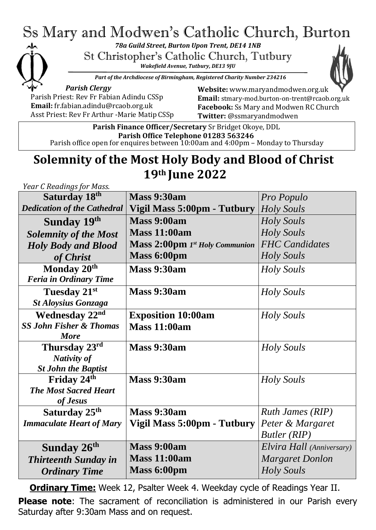# Ss Mary and Modwen's Catholic Church, Burton

*78a Guild Street, Burton Upon Trent, DE14 1NB*

St Christopher's Catholic Church, Tutbury

*Wakefield Avenue, Tutbury, DE13 9JU*



*Part of the Archdiocese of Birmingham, Registered Charity Number 234216*

*Parish Clergy* Parish Priest: Rev Fr Fabian Adindu CSSp **Email:** [fr.fabian.adindu@rcaob.org.uk](mailto:fr.fabian.adindu@rcaob.org.uk) Asst Priest: Rev Fr Arthur -Marie Matip CSSp

**Website:** [www.maryandmodwen.org.uk](http://www.maryandmodwen.org.uk/) **Email:** [stmary-mod.burton-on-trent@rcaob.org.uk](mailto:stmary-mod.burton-on-trent@rcaob.org.uk) **Facebook:** Ss Mary and Modwen RC Church **Twitter:** @ssmaryandmodwen

Parish office open for enquires between 10:00am and 4:00pm – Monday to Thursday **Parish Finance Officer/Secretary** Sr Bridget Okoye, DDL **Parish Office Telephone 01283 563246**

## **Solemnity of the Most Holy Body and Blood of Christ 19th June 2022**

| Year C Readings for Mass.          |                                       |                           |
|------------------------------------|---------------------------------------|---------------------------|
| Saturday 18 <sup>th</sup>          | <b>Mass 9:30am</b>                    | <i>Pro Populo</i>         |
| <b>Dedication of the Cathedral</b> | Vigil Mass 5:00pm - Tutbury           | Holy Souls                |
| Sunday 19th                        | Mass 9:00am                           | Holy Souls                |
| <b>Solemnity of the Most</b>       | <b>Mass 11:00am</b>                   | <b>Holy Souls</b>         |
| <b>Holy Body and Blood</b>         | <b>Mass 2:00pm</b> 1st Holy Communion | <b>FHC</b> Candidates     |
| of Christ                          | Mass 6:00pm                           | <b>Holy Souls</b>         |
| Monday 20 <sup>th</sup>            | Mass 9:30am                           | Holy Souls                |
| <b>Feria in Ordinary Time</b>      |                                       |                           |
| Tuesday 21st                       | <b>Mass 9:30am</b>                    | Holy Souls                |
| <b>St Aloysius Gonzaga</b>         |                                       |                           |
| <b>Wednesday 22nd</b>              | <b>Exposition 10:00am</b>             | Holy Souls                |
| <b>SS John Fisher &amp; Thomas</b> | <b>Mass 11:00am</b>                   |                           |
| <b>More</b>                        |                                       |                           |
| Thursday 23rd                      | <b>Mass 9:30am</b>                    | Holy Souls                |
| <b>Nativity of</b>                 |                                       |                           |
| <b>St John the Baptist</b>         |                                       |                           |
| Friday 24 <sup>th</sup>            | <b>Mass 9:30am</b>                    | <b>Holy Souls</b>         |
| <b>The Most Sacred Heart</b>       |                                       |                           |
| of Jesus                           |                                       |                           |
| Saturday 25 <sup>th</sup>          | Mass 9:30am                           | <b>Ruth James (RIP)</b>   |
| <b>Immaculate Heart of Mary</b>    | Vigil Mass 5:00pm - Tutbury           | Peter & Margaret          |
|                                    |                                       | <b>Butler</b> (RIP)       |
| Sunday 26 <sup>th</sup>            | Mass 9:00am                           | Elvira Hall (Anniversary) |
| <b>Thirteenth Sunday in</b>        | <b>Mass 11:00am</b>                   | <b>Margaret Donlon</b>    |
| <b>Ordinary Time</b>               | Mass 6:00pm                           | <b>Holy Souls</b>         |

**Ordinary Time:** Week 12, Psalter Week 4. Weekday cycle of Readings Year II.

**Please note**: The sacrament of reconciliation is administered in our Parish every Saturday after 9:30am Mass and on request.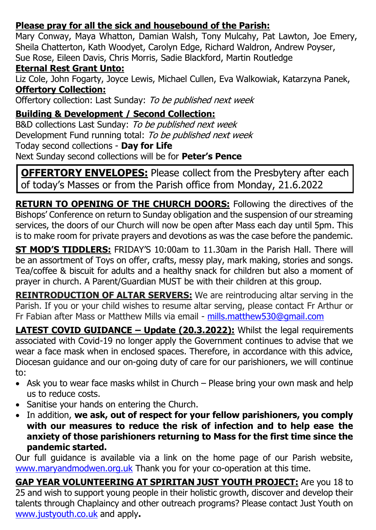### **Please pray for all the sick and housebound of the Parish:**

Mary Conway, Maya Whatton, Damian Walsh, Tony Mulcahy, Pat Lawton, Joe Emery, Sheila Chatterton, Kath Woodyet, Carolyn Edge, Richard Waldron, Andrew Poyser, Sue Rose, Eileen Davis, Chris Morris, Sadie Blackford, Martin Routledge

#### **Eternal Rest Grant Unto:**

Liz Cole, John Fogarty, Joyce Lewis, Michael Cullen, Eva Walkowiak, Katarzyna Panek, **Offertory Collection:**

Offertory collection: Last Sunday: To be published next week

#### **Building & Development / Second Collection:**

B&D collections Last Sunday: To be published next week Development Fund running total: To be published next week Today second collections - **Day for Life** Next Sunday second collections will be for **Peter's Pence**

**OFFERTORY ENVELOPES:** Please collect from the Presbytery after each of today's Masses or from the Parish office from Monday, 21.6.2022

**RETURN TO OPENING OF THE CHURCH DOORS:** Following the directives of the Bishops' Conference on return to Sunday obligation and the suspension of our streaming services, the doors of our Church will now be open after Mass each day until 5pm. This is to make room for private prayers and devotions as was the case before the pandemic.

**ST MOD'S TIDDLERS:** FRIDAY'S 10:00am to 11.30am in the Parish Hall. There will be an assortment of Toys on offer, crafts, messy play, mark making, stories and songs. Tea/coffee & biscuit for adults and a healthy snack for children but also a moment of prayer in church. A Parent/Guardian MUST be with their children at this group.

**REINTRODUCTION OF ALTAR SERVERS:** We are reintroducing altar serving in the Parish. If you or your child wishes to resume altar serving, please contact Fr Arthur or Fr Fabian after Mass or Matthew Mills via email - [mills.matthew530@gmail.com](mailto:mills.matthew530@gmail.com)

**LATEST COVID GUIDANCE – Update (20.3.2022):** Whilst the legal requirements associated with Covid-19 no longer apply the Government continues to advise that we wear a face mask when in enclosed spaces. Therefore, in accordance with this advice, Diocesan guidance and our on-going duty of care for our parishioners, we will continue to:

- Ask you to wear face masks whilst in Church Please bring your own mask and help us to reduce costs.
- Sanitise your hands on entering the Church.
- In addition, **we ask, out of respect for your fellow parishioners, you comply with our measures to reduce the risk of infection and to help ease the anxiety of those parishioners returning to Mass for the first time since the pandemic started.**

Our full guidance is available via a link on the home page of our Parish website, [www.maryandmodwen.org.uk](http://www.maryandmodwen.org.uk/) Thank you for your co-operation at this time.

**GAP YEAR VOLUNTEERING AT SPIRITAN JUST YOUTH PROJECT:** Are you 18 to 25 and wish to support young people in their holistic growth, discover and develop their talents through Chaplaincy and other outreach programs? Please contact Just Youth on [www.justyouth.co.uk](file:///C:/Users/Rosemary/Downloads/www.justyouth.co.uk) and apply**.**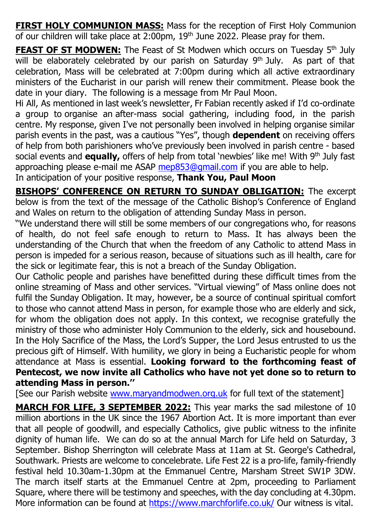**FIRST HOLY COMMUNION MASS:** Mass for the reception of First Holy Communion of our children will take place at  $2:00$ pm,  $19<sup>th</sup>$  June 2022. Please pray for them.

**FEAST OF ST MODWEN:** The Feast of St Modwen which occurs on Tuesday 5<sup>th</sup> July will be elaborately celebrated by our parish on Saturday 9<sup>th</sup> July. As part of that celebration, Mass will be celebrated at 7:00pm during which all active extraordinary ministers of the Eucharist in our parish will renew their commitment. Please book the date in your diary. The following is a message from Mr Paul Moon.

Hi All, As mentioned in last week's newsletter, Fr Fabian recently asked if I'd co-ordinate a group to organise an after-mass social gathering, including food, in the parish centre. My response, given I've not personally been involved in helping organise similar parish events in the past, was a cautious "Yes", though **dependent** on receiving offers of help from both parishioners who've previously been involved in parish centre - based social events and **equally,** offers of help from total `newbies' like me! With 9<sup>th</sup> July fast approaching please e-mail me ASAP [mep853@gmail.com](mailto:mep853@gmail.com) if you are able to help. In anticipation of your positive response, **Thank You, Paul Moon**

**BISHOPS' CONFERENCE ON RETURN TO SUNDAY OBLIGATION:** The excerpt below is from the text of the message of the Catholic Bishop's Conference of England and Wales on return to the obligation of attending Sunday Mass in person.

''We understand there will still be some members of our congregations who, for reasons of health, do not feel safe enough to return to Mass. It has always been the understanding of the Church that when the freedom of any Catholic to attend Mass in person is impeded for a serious reason, because of situations such as ill health, care for the sick or legitimate fear, this is not a breach of the Sunday Obligation.

Our Catholic people and parishes have benefitted during these difficult times from the online streaming of Mass and other services. "Virtual viewing" of Mass online does not fulfil the Sunday Obligation. It may, however, be a source of continual spiritual comfort to those who cannot attend Mass in person, for example those who are elderly and sick, for whom the obligation does not apply. In this context, we recognise gratefully the ministry of those who administer Holy Communion to the elderly, sick and housebound. In the Holy Sacrifice of the Mass, the Lord's Supper, the Lord Jesus entrusted to us the precious gift of Himself. With humility, we glory in being a Eucharistic people for whom attendance at Mass is essential. **Looking forward to the forthcoming feast of Pentecost, we now invite all Catholics who have not yet done so to return to attending Mass in person.''** 

[See our Parish website [www.maryandmodwen.org.uk](http://www.maryandmodwen.org.uk/) for full text of the statement]

**MARCH FOR LIFE, 3 SEPTEMBER 2022:** This year marks the sad milestone of 10 million abortions in the UK since the 1967 Abortion Act. It is more important than ever that all people of goodwill, and especially Catholics, give public witness to the infinite dignity of human life. We can do so at the annual March for Life held on Saturday, 3 September. Bishop Sherrington will celebrate Mass at 11am at St. George's Cathedral, Southwark. Priests are welcome to concelebrate. Life Fest 22 is a pro-life, family-friendly festival held 10.30am-1.30pm at the Emmanuel Centre, Marsham Street SW1P 3DW. The march itself starts at the Emmanuel Centre at 2pm, proceeding to Parliament Square, where there will be testimony and speeches, with the day concluding at 4.30pm. More information can be found at<https://www.marchforlife.co.uk/> Our witness is vital.